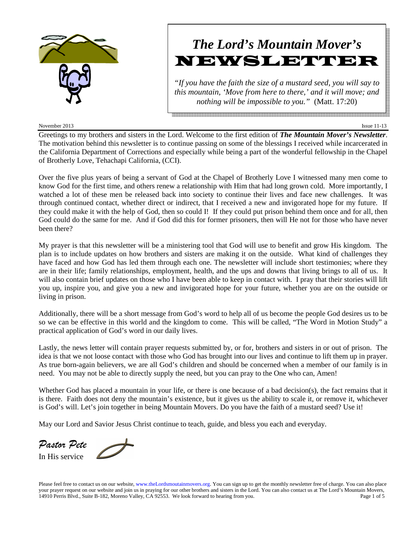

#### November 2013 Issue 11-13

# *The Lord's Mountain Mover's* NEWSLETTER

*"If you have the faith the size of a mustard seed, you will say to this mountain, 'Move from here to there,' and it will move; and nothing will be impossible to you."* (Matt. 17:20)

Greetings to my brothers and sisters in the Lord. Welcome to the first edition of *The Mountain Mover's Newsletter*. The motivation behind this newsletter is to continue passing on some of the blessings I received while incarcerated in the California Department of Corrections and especially while being a part of the wonderful fellowship in the Chapel of Brotherly Love, Tehachapi California, (CCI).

Over the five plus years of being a servant of God at the Chapel of Brotherly Love I witnessed many men come to know God for the first time, and others renew a relationship with Him that had long grown cold. More importantly, I watched a lot of these men be released back into society to continue their lives and face new challenges. It was through continued contact, whether direct or indirect, that I received a new and invigorated hope for my future. If they could make it with the help of God, then so could I! If they could put prison behind them once and for all, then God could do the same for me. And if God did this for former prisoners, then will He not for those who have never been there?

My prayer is that this newsletter will be a ministering tool that God will use to benefit and grow His kingdom. The plan is to include updates on how brothers and sisters are making it on the outside. What kind of challenges they have faced and how God has led them through each one. The newsletter will include short testimonies; where they are in their life; family relationships, employment, health, and the ups and downs that living brings to all of us. It will also contain brief updates on those who I have been able to keep in contact with. I pray that their stories will lift you up, inspire you, and give you a new and invigorated hope for your future, whether you are on the outside or living in prison.

Additionally, there will be a short message from God's word to help all of us become the people God desires us to be so we can be effective in this world and the kingdom to come. This will be called, "The Word in Motion Study" a practical application of God's word in our daily lives.

Lastly, the news letter will contain prayer requests submitted by, or for, brothers and sisters in or out of prison. The idea is that we not loose contact with those who God has brought into our lives and continue to lift them up in prayer. As true born-again believers, we are all God's children and should be concerned when a member of our family is in need. You may not be able to directly supply the need, but you can pray to the One who can, Amen!

Whether God has placed a mountain in your life, or there is one because of a bad decision(s), the fact remains that it is there. Faith does not deny the mountain's existence, but it gives us the ability to scale it, or remove it, whichever is God's will. Let's join together in being Mountain Movers. Do you have the faith of a mustard seed? Use it!

May our Lord and Savior Jesus Christ continue to teach, guide, and bless you each and everyday.

*Pastor Pete*  In His service

Please feel free to contact us on our website, www.theLordsmoutainmovers.org. You can sign up to get the monthly newsletter free of charge. You can also place your prayer request on our website and join us in praying for our other brothers and sisters in the Lord. You can also contact us at The Lord's Mountain Movers, 14910 Perris Blvd., Suite B-182, Moreno Valley, CA 92553. We look forward to hearing from you. Page 1 of 5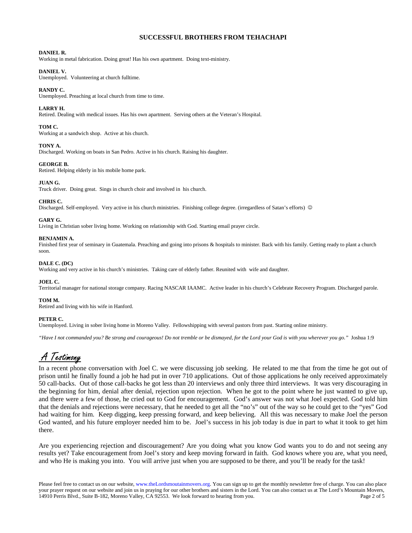## **SUCCESSFUL BROTHERS FROM TEHACHAPI**

#### **DANIEL R.**

Working in metal fabrication. Doing great! Has his own apartment. Doing text-ministry.

### **DANIEL V.**

Unemployed. Volunteering at church fulltime.

#### **RANDY C.**

Unemployed. Preaching at local church from time to time.

### **LARRY H.**

Retired. Dealing with medical issues. Has his own apartment. Serving others at the Veteran's Hospital.

#### **TOM C.**

Working at a sandwich shop. Active at his church.

#### **TONY A.**

Discharged. Working on boats in San Pedro. Active in his church. Raising his daughter.

#### **GEORGE B.**

Retired. Helping elderly in his mobile home park.

#### **JUAN G.**

Truck driver. Doing great. Sings in church choir and involved in his church.

#### **CHRIS C.**

Discharged. Self-employed. Very active in his church ministries. Finishing college degree. (irregardless of Satan's efforts) ☺

#### **GARY G.**

Living in Christian sober living home. Working on relationship with God. Starting email prayer circle.

#### **BENJAMIN A.**

Finished first year of seminary in Guatemala. Preaching and going into prisons & hospitals to minister. Back with his family. Getting ready to plant a church soon.

#### **DALE C. (DC)**

Working and very active in his church's ministries. Taking care of elderly father. Reunited with wife and daughter.

#### **JOEL C.**

Territorial manager for national storage company. Racing NASCAR IAAMC. Active leader in his church's Celebrate Recovery Program. Discharged parole.

#### **TOM M.**

Retired and living with his wife in Hanford.

#### **PETER C.**

Unemployed. Living in sober living home in Moreno Valley. Fellowshipping with several pastors from past. Starting online ministry.

*"Have I not commanded you? Be strong and courageous! Do not tremble or be dismayed, for the Lord your God is with you wherever you go."* Joshua 1:9

## A Testimony

In a recent phone conversation with Joel C. we were discussing job seeking. He related to me that from the time he got out of prison until he finally found a job he had put in over 710 applications. Out of those applications he only received approximately 50 call-backs. Out of those call-backs he got less than 20 interviews and only three third interviews. It was very discouraging in the beginning for him, denial after denial, rejection upon rejection. When he got to the point where he just wanted to give up, and there were a few of those, he cried out to God for encouragement. God's answer was not what Joel expected. God told him that the denials and rejections were necessary, that he needed to get all the "no's" out of the way so he could get to the "yes" God had waiting for him. Keep digging, keep pressing forward, and keep believing. All this was necessary to make Joel the person God wanted, and his future employer needed him to be. Joel's success in his job today is due in part to what it took to get him there.

Are you experiencing rejection and discouragement? Are you doing what you know God wants you to do and not seeing any results yet? Take encouragement from Joel's story and keep moving forward in faith. God knows where you are, what you need, and who He is making you into. You will arrive just when you are supposed to be there, and you'll be ready for the task!

Please feel free to contact us on our website, www.theLordsmoutainmovers.org. You can sign up to get the monthly newsletter free of charge. You can also place your prayer request on our website and join us in praying for our other brothers and sisters in the Lord. You can also contact us at The Lord's Mountain Movers, 14910 Perris Blvd., Suite B-182, Moreno Valley, CA 92553. We look forward to hearing from you. Page 2 of 5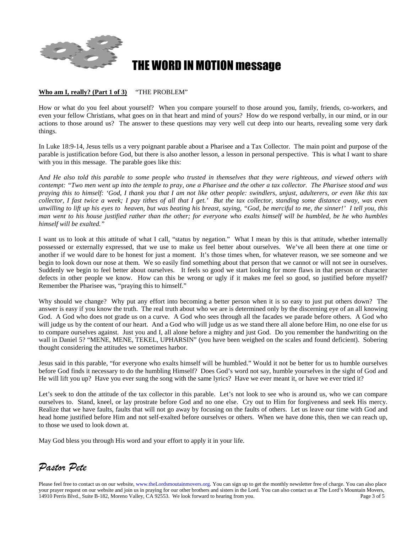

## **HE WORD IN MOTION message**

## **Who am I, really? (Part 1 of 3)** "THE PROBLEM"

How or what do you feel about yourself? When you compare yourself to those around you, family, friends, co-workers, and even your fellow Christians, what goes on in that heart and mind of yours? How do we respond verbally, in our mind, or in our actions to those around us? The answer to these questions may very well cut deep into our hearts, revealing some very dark things.

In Luke 18:9-14, Jesus tells us a very poignant parable about a Pharisee and a Tax Collector. The main point and purpose of the parable is justification before God, but there is also another lesson, a lesson in personal perspective. This is what I want to share with you in this message. The parable goes like this:

A*nd He also told this parable to some people who trusted in themselves that they were righteous, and viewed others with contempt: "Two men went up into the temple to pray, one a Pharisee and the other a tax collector. The Pharisee stood and was praying this to himself: 'God, I thank you that I am not like other people: swindlers, unjust, adulterers, or even like this tax collector, I fast twice a week; I pay tithes of all that I get.' But the tax collector, standing some distance away, was even unwilling to lift up his eyes to heaven, but was beating his breast, saying, "God, be merciful to me, the sinner!' I tell you, this man went to his house justified rather than the other; for everyone who exalts himself will be humbled, be he who humbles himself will be exalted."* 

I want us to look at this attitude of what I call, "status by negation." What I mean by this is that attitude, whether internally possessed or externally expressed, that we use to make us feel better about ourselves. We've all been there at one time or another if we would dare to be honest for just a moment. It's those times when, for whatever reason, we see someone and we begin to look down our nose at them. We so easily find something about that person that we cannot or will not see in ourselves. Suddenly we begin to feel better about ourselves. It feels so good we start looking for more flaws in that person or character defects in other people we know. How can this be wrong or ugly if it makes me feel so good, so justified before myself? Remember the Pharisee was, "praying this to himself."

Why should we change? Why put any effort into becoming a better person when it is so easy to just put others down? The answer is easy if you know the truth. The real truth about who we are is determined only by the discerning eye of an all knowing God. A God who does not grade us on a curve. A God who sees through all the facades we parade before others. A God who will judge us by the content of our heart. And a God who will judge us as we stand there all alone before Him, no one else for us to compare ourselves against. Just you and I, all alone before a mighty and just God. Do you remember the handwriting on the wall in Daniel 5? "MENE, MENE, TEKEL, UPHARSIN" (you have been weighed on the scales and found deficient). Sobering thought considering the attitudes we sometimes harbor.

Jesus said in this parable, "for everyone who exalts himself will be humbled." Would it not be better for us to humble ourselves before God finds it necessary to do the humbling Himself? Does God's word not say, humble yourselves in the sight of God and He will lift you up? Have you ever sung the song with the same lyrics? Have we ever meant it, or have we ever tried it?

Let's seek to don the attitude of the tax collector in this parable. Let's not look to see who is around us, who we can compare ourselves to. Stand, kneel, or lay prostrate before God and no one else. Cry out to Him for forgiveness and seek His mercy. Realize that we have faults, faults that will not go away by focusing on the faults of others. Let us leave our time with God and head home justified before Him and not self-exalted before ourselves or others. When we have done this, then we can reach up, to those we used to look down at.

May God bless you through His word and your effort to apply it in your life.

*Pastor Pete* 

Please feel free to contact us on our website, www.theLordsmoutainmovers.org. You can sign up to get the monthly newsletter free of charge. You can also place your prayer request on our website and join us in praying for our other brothers and sisters in the Lord. You can also contact us at The Lord's Mountain Movers, 14910 Perris Blvd., Suite B-182, Moreno Valley, CA 92553. We 14910 Perris Blvd., Suite B-182, Moreno Valley, CA 92553. We look forward to hearing from you.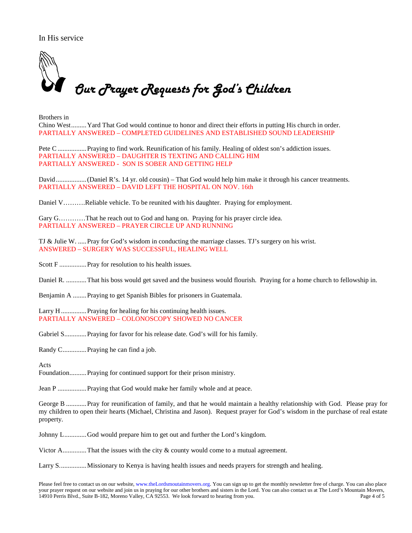In His service



Brothers in Chino West.........Yard That God would continue to honor and direct their efforts in putting His church in order. PARTIALLY ANSWERED – COMPLETED GUIDELINES AND ESTABLISHED SOUND LEADERSHIP

Pete C .................Praying to find work. Reunification of his family. Healing of oldest son's addiction issues. PARTIALLY ANSWERED – DAUGHTER IS TEXTING AND CALLING HIM PARTIALLY ANSWERED - SON IS SOBER AND GETTING HELP

David ..................(Daniel R's. 14 yr. old cousin) – That God would help him make it through his cancer treatments. PARTIALLY ANSWERED – DAVID LEFT THE HOSPITAL ON NOV. 16th

Daniel V……….Reliable vehicle. To be reunited with his daughter. Praying for employment.

Gary G…………That he reach out to God and hang on. Praying for his prayer circle idea. PARTIALLY ANSWERED – PRAYER CIRCLE UP AND RUNNING

TJ & Julie W. .....Pray for God's wisdom in conducting the marriage classes. TJ's surgery on his wrist. ANSWERED – SURGERY WAS SUCCESSFUL, HEALING WELL

Scott F ..................... Pray for resolution to his health issues.

Daniel R. ............That his boss would get saved and the business would flourish. Praying for a home church to fellowship in.

Benjamin A ........Praying to get Spanish Bibles for prisoners in Guatemala.

Larry H ................ Praying for healing for his continuing health issues. PARTIALLY ANSWERED – COLONOSCOPY SHOWED NO CANCER

Gabriel S.............. Praying for favor for his release date. God's will for his family.

Randy C..............Praying he can find a job.

Acts

Foundation..........Praying for continued support for their prison ministry.

Jean P .................Praying that God would make her family whole and at peace.

George B ............ Pray for reunification of family, and that he would maintain a healthy relationship with God. Please pray for my children to open their hearts (Michael, Christina and Jason). Request prayer for God's wisdom in the purchase of real estate property.

Johnny L.............God would prepare him to get out and further the Lord's kingdom.

Victor A..............That the issues with the city & county would come to a mutual agreement.

Larry S................Missionary to Kenya is having health issues and needs prayers for strength and healing.